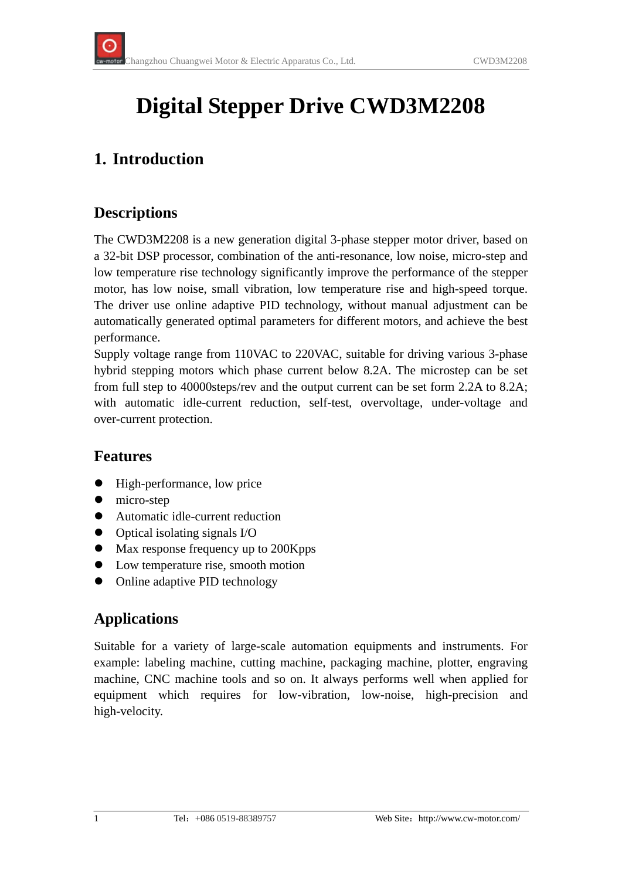# **Digital Stepper Drive CWD3M2208**

### **1. Introduction**

#### **Descriptions**

The CWD3M2208 is a new generation digital 3-phase stepper motor driver, based on a 32-bit DSP processor, combination of the anti-resonance, low noise, micro-step and low temperature rise technology significantly improve the performance of the stepper motor, has low noise, small vibration, low temperature rise and high-speed torque. The driver use online adaptive PID technology, without manual adjustment can be automatically generated optimal parameters for different motors, and achieve the best performance.

Supply voltage range from 110VAC to 220VAC, suitable for driving various 3-phase hybrid stepping motors which phase current below 8.2A. The microstep can be set from full step to 40000steps/rev and the output current can be set form 2.2A to 8.2A; with automatic idle-current reduction, self-test, overvoltage, under-voltage and over-current protection.

#### **Features**

- High-performance, low price
- $\bullet$  micro-step
- Automatic idle-current reduction
- $\bullet$  Optical isolating signals I/O
- Max response frequency up to 200Kpps
- Low temperature rise, smooth motion
- Online adaptive PID technology

#### **Applications**

Suitable for a variety of large-scale automation equipments and instruments. For example: labeling machine, cutting machine, packaging machine, plotter, engraving machine, CNC machine tools and so on. It always performs well when applied for equipment which requires for low-vibration, low-noise, high-precision and high-velocity.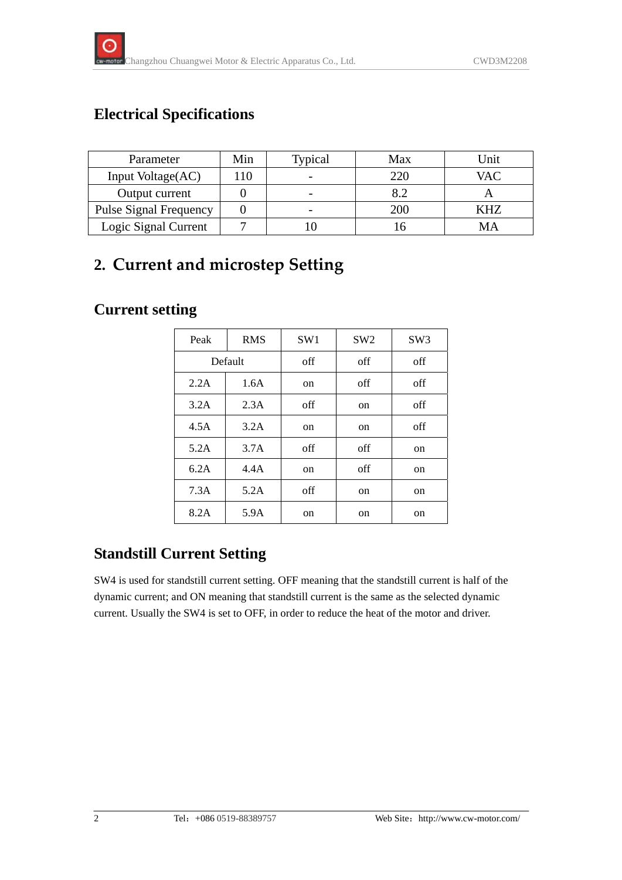### **Electrical Specifications**

| Parameter                     | Min | Typical | Max | Jnit |
|-------------------------------|-----|---------|-----|------|
| Input Voltage(AC)             | 110 |         | 220 | VAC  |
| Output current                |     |         | 8.2 |      |
| <b>Pulse Signal Frequency</b> |     |         | 200 | KHZ  |
| Logic Signal Current          |     |         |     |      |

## **2. Current and microstep Setting**

### **Current setting**

| Peak    | <b>RMS</b> | SW <sub>1</sub> | SW <sub>2</sub> | SW <sub>3</sub> |
|---------|------------|-----------------|-----------------|-----------------|
| Default |            | off             | off             | off             |
| 2.2A    | 1.6A       | on              | off             | off             |
| 3.2A    | 2.3A       | off             | <sub>on</sub>   | off             |
| 4.5A    | 3.2A       | on              | <sub>on</sub>   | off             |
| 5.2A    | 3.7A       | off             | off             | on              |
| 6.2A    | 4.4A       | on              | off             | on              |
| 7.3A    | 5.2A       | off             | on              | on              |
| 8.2A    | 5.9A       | on              | <sub>on</sub>   | on              |

### **Standstill Current Setting**

SW4 is used for standstill current setting. OFF meaning that the standstill current is half of the dynamic current; and ON meaning that standstill current is the same as the selected dynamic current. Usually the SW4 is set to OFF, in order to reduce the heat of the motor and driver.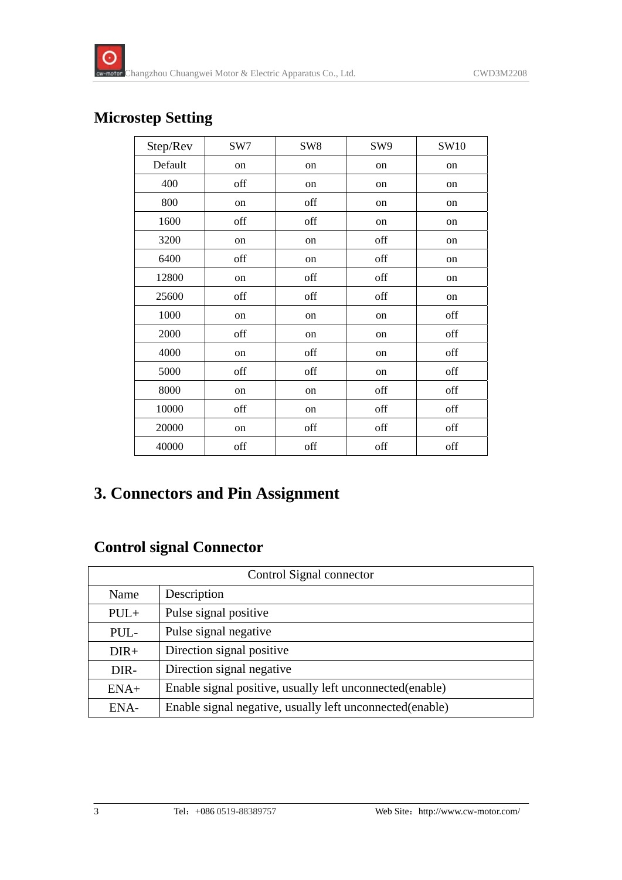### **Microstep Setting**

| Step/Rev | SW7 | SW <sub>8</sub> | SW9 | SW10 |
|----------|-----|-----------------|-----|------|
| Default  | on  | on              | on  | on   |
| 400      | off | on              | on  | on   |
| 800      | on  | off             | on  | on   |
| 1600     | off | off             | on  | on   |
| 3200     | on  | on              | off | on   |
| 6400     | off | on              | off | on   |
| 12800    | on  | off             | off | on   |
| 25600    | off | off             | off | on   |
| 1000     | on  | on              | on  | off  |
| 2000     | off | on              | on  | off  |
| 4000     | on  | off             | on  | off  |
| 5000     | off | off             | on  | off  |
| 8000     | on  | on              | off | off  |
| 10000    | off | on              | off | off  |
| 20000    | on  | off             | off | off  |
| 40000    | off | off             | off | off  |

### **3. Connectors and Pin Assignment**

#### **Control signal Connector**

| Control Signal connector |                                                           |  |
|--------------------------|-----------------------------------------------------------|--|
| Name                     | Description                                               |  |
| $PUL+$                   | Pulse signal positive                                     |  |
| PUL-                     | Pulse signal negative                                     |  |
| $DIR+$                   | Direction signal positive                                 |  |
| DIR-                     | Direction signal negative                                 |  |
| $ENA+$                   | Enable signal positive, usually left unconnected(enable)  |  |
| ENA-                     | Enable signal negative, usually left unconnected (enable) |  |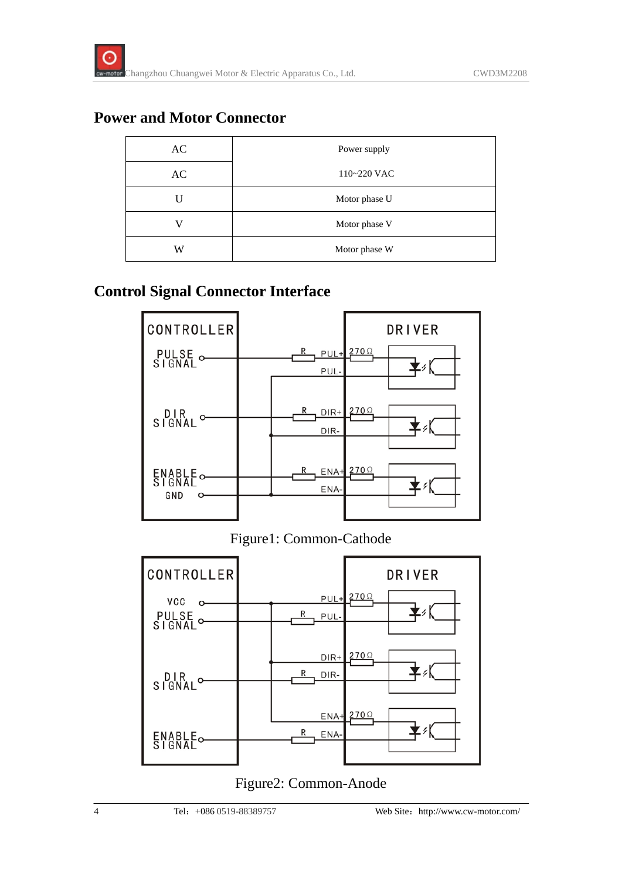#### **Power and Motor Connector**

| AC | Power supply  |  |
|----|---------------|--|
| AC | 110~220 VAC   |  |
|    | Motor phase U |  |
|    | Motor phase V |  |
| W  | Motor phase W |  |

#### **Control Signal Connector Interface**



Figure1: Common-Cathode



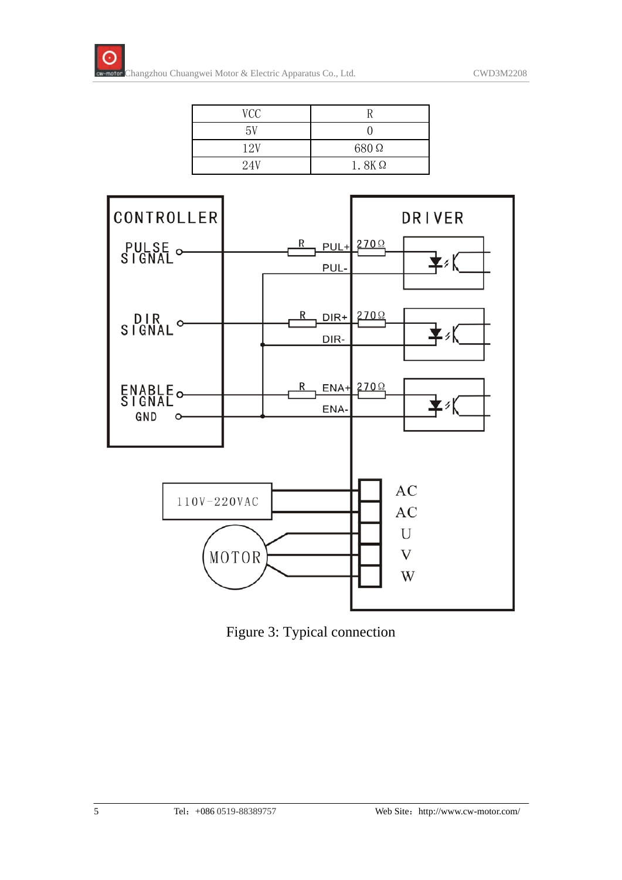

| VCC |              |
|-----|--------------|
| 5V  |              |
| 12V | 680 Q        |
| 24V | $1.8K\Omega$ |



Figure 3: Typical connection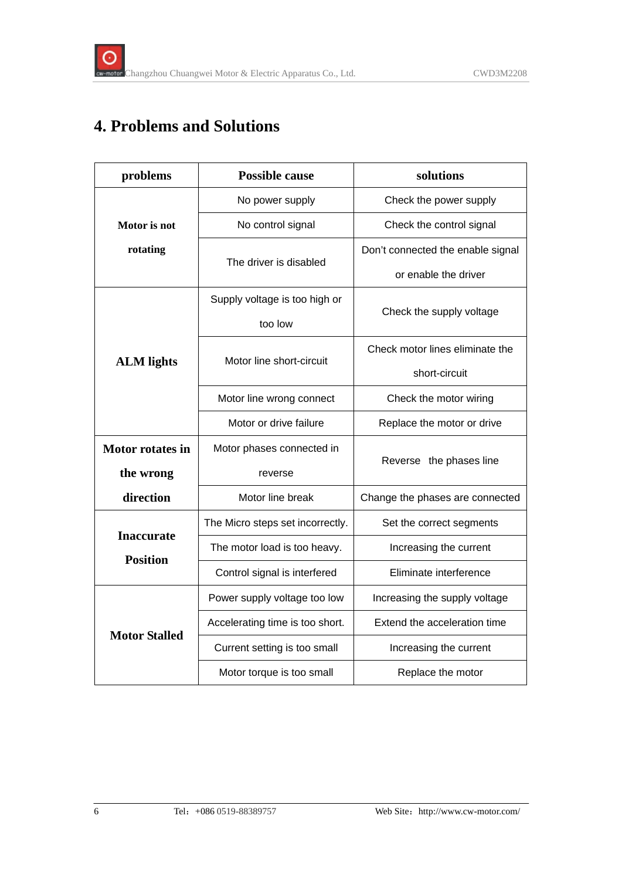### **4. Problems and Solutions**

| problems                             | <b>Possible cause</b>            | solutions                         |  |
|--------------------------------------|----------------------------------|-----------------------------------|--|
|                                      | No power supply                  | Check the power supply            |  |
| Motor is not                         | No control signal                | Check the control signal          |  |
| rotating                             |                                  | Don't connected the enable signal |  |
|                                      | The driver is disabled           | or enable the driver              |  |
|                                      | Supply voltage is too high or    |                                   |  |
|                                      | too low                          | Check the supply voltage          |  |
|                                      | Motor line short-circuit         | Check motor lines eliminate the   |  |
| <b>ALM</b> lights                    |                                  | short-circuit                     |  |
|                                      | Motor line wrong connect         | Check the motor wiring            |  |
|                                      | Motor or drive failure           | Replace the motor or drive        |  |
| <b>Motor rotates in</b>              | Motor phases connected in        |                                   |  |
| the wrong                            | reverse                          | Reverse the phases line           |  |
| direction                            | Motor line break                 | Change the phases are connected   |  |
|                                      | The Micro steps set incorrectly. | Set the correct segments          |  |
| <b>Inaccurate</b><br><b>Position</b> | The motor load is too heavy.     | Increasing the current            |  |
|                                      | Control signal is interfered     | Eliminate interference            |  |
| <b>Motor Stalled</b>                 | Power supply voltage too low     | Increasing the supply voltage     |  |
|                                      | Accelerating time is too short.  | Extend the acceleration time      |  |
|                                      | Current setting is too small     | Increasing the current            |  |
|                                      | Motor torque is too small        | Replace the motor                 |  |